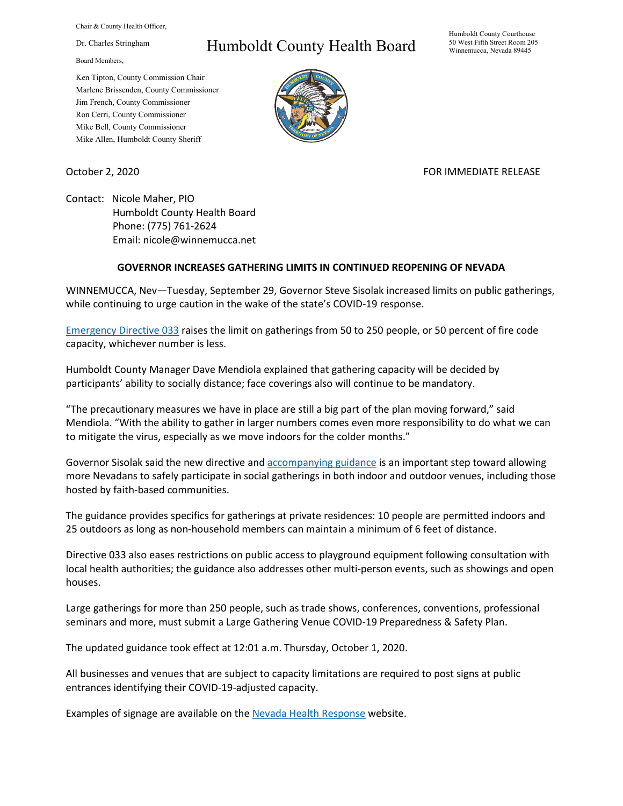Chair & County Health Officer,

Dr. Charles Stringham

Board Members,

Ken Tipton, County Commission Chair Marlene Brissenden, County Commissioner Jim French, County Commissioner Ron Cerri, County Commissioner Mike Bell, County Commissioner Mike Allen, Humboldt County Sheriff

## Humboldt County Health Board

Humboldt County Courthouse 50 West Fifth Street Room 205 Winnemucca, Nevada 89445



October 2, 2020 FOR IMMEDIATE RELEASE

Contact: Nicole Maher, PIO Humboldt County Health Board Phone: (775) 761-2624 Email: nicole@winnemucca.net

## **GOVERNOR INCREASES GATHERING LIMITS IN CONTINUED REOPENING OF NEVADA**

WINNEMUCCA, Nev—Tuesday, September 29, Governor Steve Sisolak increased limits on public gatherings, while continuing to urge caution in the wake of the state's COVID-19 response.

[Emergency Directive](https://nvhealthresponse.nv.gov/wp-content/uploads/2020/10/Declaration-of-Emergency-Directive-033.pdf) 033 raises the limit on gatherings from 50 to 250 people, or 50 percent of fire code capacity, whichever number is less.

Humboldt County Manager Dave Mendiola explained that gathering capacity will be decided by participants' ability to socially distance; face coverings also will continue to be mandatory.

"The precautionary measures we have in place are still a big part of the plan moving forward," said Mendiola. "With the ability to gather in larger numbers comes even more responsibility to do what we can to mitigate the virus, especially as we move indoors for the colder months."

Governor Sisolak said the new directive and [accompanying guidance](https://nvhealthresponse.nv.gov/wp-content/uploads/2020/09/Nevada-Guidance-for-Safe-Gatherings-Celebrations-Ceremonies-and-Events.pdf) is an important step toward allowing more Nevadans to safely participate in social gatherings in both indoor and outdoor venues, including those hosted by faith-based communities.

The guidance provides specifics for gatherings at private residences: 10 people are permitted indoors and 25 outdoors as long as non-household members can maintain a minimum of 6 feet of distance.

Directive 033 also eases restrictions on public access to playground equipment following consultation with local health authorities; the guidance also addresses other multi-person events, such as showings and open houses.

Large gatherings for more than 250 people, such as trade shows, conferences, conventions, professional seminars and more, must submit a Large Gathering Venue COVID-19 Preparedness & Safety Plan.

The updated guidance took effect at 12:01 a.m. Thursday, October 1, 2020.

All businesses and venues that are subject to capacity limitations are required to post signs at public entrances identifying their COVID-19-adjusted capacity.

Examples of signage are available on the [Nevada Health Response](https://nvhealthresponse.nv.gov/wp-content/uploads/2020/10/Master-Signage-Docs.pdf) website.